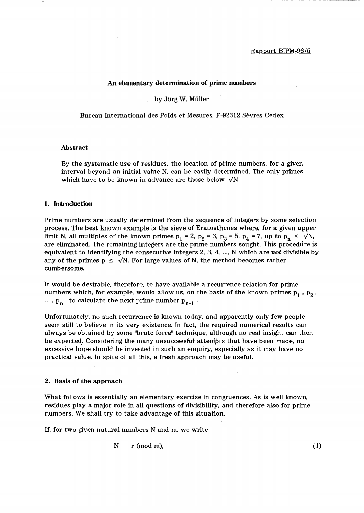## An elementary determination of prime numbers

by Jörg W. Müller

Bureau International des Poids et Mesures, F-92312 Sevres Cedex

## Abstract

By the systematic use of residues, the location of prime numbers, for a given interval beyond an initial value N, can be easily determined. The only primes which have to be known in advance are those below  $\sqrt{N}$ .

## 1. Introduction

Prime numbers are usually determined from the sequence of integers by some selection process. The best known example is the sieve of Eratosthenes where, for a given upper limit N, all multiples of the known primes  $p_1 = 2$ ,  $p_2 = 3$ ,  $p_3 = 5$ ,  $p_4 = 7$ , up to  $p_n \le \sqrt{N}$ , are eliminated. The remaining integers are the prime numbers sought. This procedure is equivalent to identifying the consecutive integers 2, 3, 4, ... , N which are *not* divisible by any of the primes  $p \leq \sqrt{N}$ . For large values of N, the method becomes rather cumbersome.

It would be desirable, therefore, to have available a recurrence relation for prime numbers which, for example, would allow us, on the basis of the known primes  $p_1$ ,  $p_2$ , ...,  $p_n$ , to calculate the next prime number  $p_{n+1}$ .

Unfortunately, no such recurrence is known today, and apparently only few people seem still to believe in its very existence. In fact, the required numerical results can always be obtained by some ''brute force" technique, although no real insight can then be expected: Considering the many unsuccessful attempts that have been made, no excessive hope should be invested in such an enquiry, especially as it may have no practical value. In spite of all this, a fresh approach may be useful.

#### 2. Basis of the approach

What follows is essentially an elementary exercise in congruences. As is well known, residues play a major role in all questions of divisibility, and therefore also for prime numbers. We shall try to take advantage of this situation.

If, for two given natural numbers N and m, we write

$$
N = r \text{ (mod m)}, \tag{1}
$$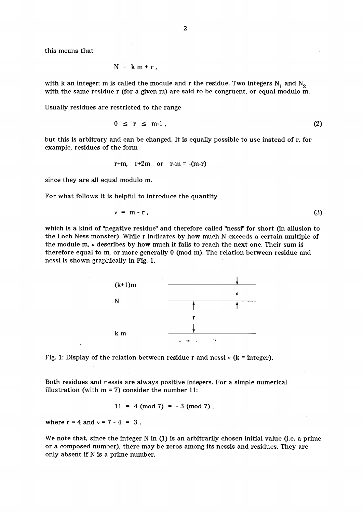this means that

$$
N = k m + r,
$$

with k an integer; m is called the module and r the residue. Two integers  $N_1$  and  $N_2$ with the same residue r (for a given m) are said to be congruent, or equal modulo m.

Usually residues are restricted to the range

$$
0 \leq r \leq m-1 \tag{2}
$$

but this is arbitrary and can be changed. It is equally possible to use instead of r, for example, residues of the form

$$
r+m, r+2m \text{ or } r-m = -(m-r)
$$

since they are all equal modulo m.

For what follows it is helpful to introduce the quantity

$$
\nu = m - r \tag{3}
$$

which is a kind of "negative residue" and therefore called "nessi" for short (in allusion to the Loch Ness monster). While r indicates by how much N exceeds a certain multiple of the module m,  $\nu$  describes by how much it fails to reach the next one. Their sum is therefore equal to m, or more generally 0 (mod m). The relation between residue and nessi is shown graphically in Fig. 1.



Fig. 1: Display of the relation between residue r and nessi  $\nu$  (k = integer).

Both residues and nessis are always positive integers. For a simple numerical illustration (with  $m = 7$ ) consider the number 11:

 $11 = 4 \pmod{7} = -3 \pmod{7}$ ,

where  $r = 4$  and  $v = 7 - 4 = 3$ .

We note that, since the integer N in (1) is an arbitrarily chosen initial value (i.e. a prime or a composed number), there may be zeros among its nessis and residues. They are only absent if N is a prime number.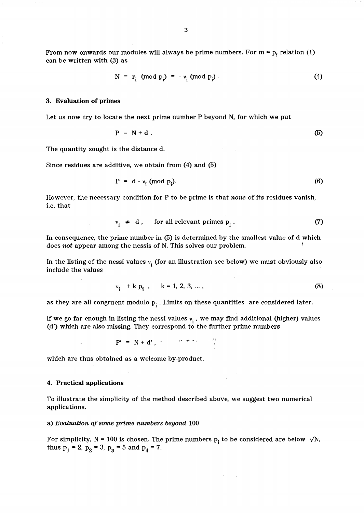From now onwards our modules will always be prime numbers. For  $m = p_i$  relation (1) can be written with (3) as

$$
N = r_i \pmod{p_i} = -v_i \pmod{p_i}
$$
. (4)

#### 3. Evaluation of primes

Let us now try to locate the next prime number P beyond N, for which we put

$$
P = N + d. \tag{5}
$$

The quantity sought is the distance d.

Since residues are additive, we obtain from (4) and (5)

$$
P = d - \nu_i \pmod{p_i}.
$$
 (6)

However, the necessary condition for P to be prime is that *none* of its residues vanish, i.e. that

$$
v_i \neq d, \quad \text{for all relevant primes } p_i. \tag{7}
$$

In consequence, the prime number in (5) is determined by the smallest value of d which does *not* appear among the nessis of N. This solves our problem.

In the listing of the nessi values  $v_i$  (for an illustration see below) we must obviously also include the values

$$
v_i + k p_i
$$
,  $k = 1, 2, 3, ...$ , (8)

as they are all congruent modulo  $p_i$ . Limits on these quantities are considered later.

If we go far enough in listing the nessi values  $v_i$ , we may find additional (higher) values (d') which are also missing. They correspond to the further prime numbers

 $P' = N + d'$ , we will be a set of  $\frac{2\pi}{3}$ 

which are thus obtained as a welcome by-product.

#### 4. Practical applications

To illustrate the simplicity of the method described above, we suggest two numerical applications.

### a) *Evaluation of some prime numbers beyond 100*

For simplicity,  $N = 100$  is chosen. The prime numbers  $p_i$  to be considered are below  $\sqrt{N}$ , thus  $p_1 = 2$ ,  $p_2 = 3$ ,  $p_3 = 5$  and  $p_4 = 7$ .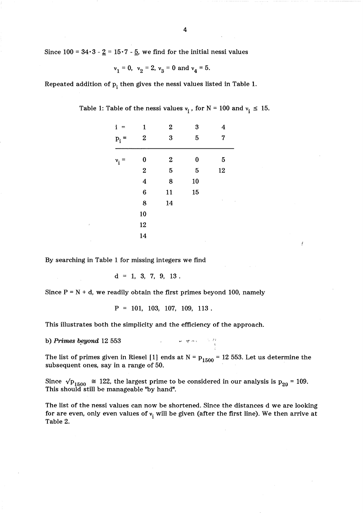Since  $100 = 34 \cdot 3 - 2 = 15 \cdot 7 - 5$ , we find for the initial nessi values

$$
v_1 = 0
$$
,  $v_2 = 2$ ,  $v_3 = 0$  and  $v_4 = 5$ .

Repeated addition of  $p_i$  then gives the nessi values listed in Table 1.

| $i =$            | $\mathbf{1}$            | $\boldsymbol{2}$ | 3              | 4                       |  |  |
|------------------|-------------------------|------------------|----------------|-------------------------|--|--|
| $\mathbf{p}_i =$ | $\boldsymbol{2}$        | 3                | $\overline{5}$ | $\overline{\mathbf{7}}$ |  |  |
| $v_{\rm i}$      | $\bf{0}$                | $\boldsymbol{2}$ | $\bf{0}$       | 5                       |  |  |
|                  | $\overline{\mathbf{2}}$ | $\overline{5}$   | $\overline{5}$ | 12                      |  |  |
|                  | $\overline{\mathbf{4}}$ | 8                | 10             |                         |  |  |
|                  | $\bf{6}$                | 11               | 15             |                         |  |  |
|                  | 8                       | 14               |                | ï                       |  |  |
|                  | 10                      |                  |                |                         |  |  |
|                  | 12                      |                  |                |                         |  |  |
|                  | 14                      |                  |                |                         |  |  |

Ĭ

Table 1: Table of the nessi values  $v_i$ , for N = 100 and  $v_i \le 15$ .

By searching in Table 1 for missing integers we find

 $d = 1, 3, 7, 9, 13.$ 

Since  $P = N + d$ , we readily obtain the first primes beyond 100, namely

$$
P = 101, 103, 107, 109, 113.
$$

This illustrates both the simplicity and the efficiency of the approach.

b) *Primes beyond* 12 553

The list of primes given in Riesel [1] ends at  $N = p_{1500} = 12553$ . Let us determine the subsequent ones, say in a range of 50.

where  $\eta$  and  $\eta$  is the  $\eta$ 

Since  $\sqrt{p_{1500}} \approx 122$ , the largest prime to be considered in our analysis is  $p_{29} = 109$ . This should still be manageable ''by hand".

The list of the nessi values can now be shortened. Since the distances d we are looking for are even, only even values of  $v_i$  will be given (after the first line). We then arrive at Table 2.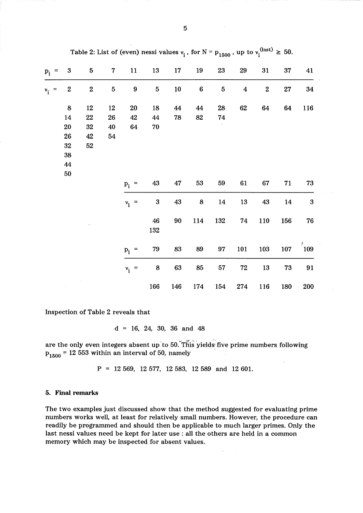| $p_i$ = | $\boldsymbol{3}$ | ${\bf 5}$ | $\boldsymbol{7}$ | 11               | 13               | 17  | 19              | 23             | 29                      | 31      | 37  | 41        |
|---------|------------------|-----------|------------------|------------------|------------------|-----|-----------------|----------------|-------------------------|---------|-----|-----------|
| $v_i$ = | $\boldsymbol{2}$ | $\bf 2$   | $\overline{5}$   | $\boldsymbol{9}$ | $\overline{5}$   | 10  | $6\phantom{1}6$ | $\overline{5}$ | $\overline{\mathbf{4}}$ | $\bf 2$ | 27  | 34        |
|         | $\bf 8$          | 12        | 12               | <b>20</b>        | 18               | 44  | 44              | 28             | $62\,$                  | 64      | 64  | 116       |
|         | 14               | 22        | 26               | 42               | 44               | 78  | 82              | 74             |                         |         |     |           |
|         | 20               | 32        | 40               | 64               | ${\bf 70}$       |     |                 |                |                         |         |     |           |
|         | 26               | 42        | 54               |                  |                  |     |                 |                |                         |         |     |           |
|         | 32               | 52        |                  |                  |                  |     |                 |                |                         |         |     |           |
|         | 38               |           |                  |                  |                  |     |                 |                |                         |         |     |           |
|         | 44               |           |                  |                  |                  |     |                 |                |                         |         |     |           |
|         | $50\,$           |           |                  |                  |                  |     |                 |                |                         |         |     |           |
|         |                  |           |                  | $p_i$ =          | 43               | 47  | 53              | 59             | 61                      | 67      | 71  | 73        |
|         |                  |           |                  | $v_i$ =          | $\boldsymbol{3}$ | 43  | $\bf8$          | 14             | 13                      | 43      | 14  | $\bf{3}$  |
|         |                  | Ŷ.        |                  |                  | 46               | 90  | 114             | 132            | 74                      | 110     | 156 | 76        |
|         |                  |           |                  |                  | 132              |     |                 |                |                         |         |     |           |
|         |                  |           |                  | $p_i$ =          | 79               | 83  | 89              | 97             | 101                     | 103     | 107 | $^{'}109$ |
|         |                  |           |                  | $v_i$ =          | 8                | 63  | 85              | $57\,$         | ${\bf 72}$              | 13      | 73  | 91        |
|         |                  |           |                  |                  | 166              | 146 | 174             | 154            | 274                     | 116     | 180 | 200       |

Table 2: List of (even) nessi values  $v_i'$ , for  $N = p_{1500}$ , up to  $v_i^{(last)} \ge 50$ .

Inspection of Table 2 reveals that

 $d = 16, 24, 30, 36$  and 48

are the only even integers absent up to 50. This yields five prime numbers following  $p_{1500}$  = 12 553 within an interval of 50, namely

 $P = 12 569, 12 577, 12 583, 12 589$  and 12601.

# 5. Final remarks

The two examples just discussed show that the method suggested for evaluating prime numbers works well, at least for relatively small numbers. However, the procedure can readily be programmed and should then be applicable to much larger primes. Only the last nessi values need be kept for later use: all the others are held in a common memory which may be inspected for absent values.

 $\bar{z}$ 

**Contractor**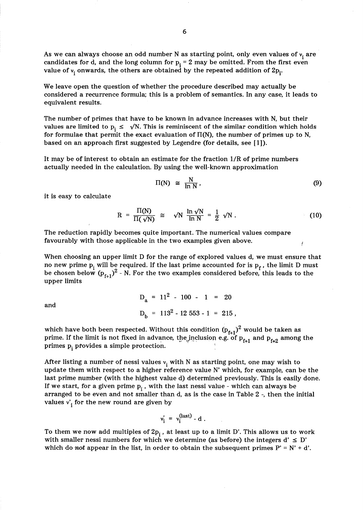As we can always choose an odd number N as starting point, only even values of  $v_i$  are candidates for d, and the long column for  $p_i = 2$  may be omitted. From the first even value of  $v_i$  onwards, the others are obtained by the repeated addition of  $2p_i$ .

We leave open the question of whether the procedure described may actually be considered a recurrence formula; this is a problem of semantics. In any case, it leads to equivalent results.

The number of primes that have to be known in advance increases with N, but their values are limited to  $p_i \leq \sqrt{N}$ . This is reminiscent of the similar condition which holds for formulae that permit the exact evaluation of  $\Pi(N)$ , the number of primes up to N, based on an approach first suggested by Legendre (for details, see [1]).

It may be of interest to obtain an estimate for the fraction l/R of prime numbers actually needed in the calculation. By using the well-known approximation

$$
\Pi(N) \cong \frac{N}{\ln N}, \tag{9}
$$

it is easy to calculate

$$
R = \frac{\Pi(N)}{\Pi(\sqrt{N})} \cong \sqrt{N} \frac{\ln \sqrt{N}}{\ln N} = \frac{1}{2} \sqrt{N}.
$$
 (10)

The reduction rapidly becomes quite important. The numerical values compare favourably with those applicable in the two examples given above.

When choosing an upper limit D for the range of explored values d, we must ensure that no new prime  $p_i$  will be required. If the last prime accounted for is  $p_f$  , the limit D must be chosen below  $(p_{f+1})^2$  - N. For the two examples considered before, this leads to the upper limits

> $D_a = 11^2 - 100 - 1 = 20$  $D_b$  = 113<sup>2</sup> - 12 553 - 1 = 215,

which have both been respected. Without this condition  $(p_{f+1})^2$  would be taken as prime. If the limit is not fixed in advance, the inclusion e.g. of  $p_{f+1}$  and  $p_{f+2}$  among the primes  $p_i$  provides a simple protection.

After listing a number of nessi values  $v_i$  with N as starting point, one may wish to update them with respect to a higher reference value N' which, for example, can be the last prime number (with the highest value d) determined previously. This is easily done. If we start, for a given prime  $p_i$ , with the last nessi value - which can always be arranged to be even and not smaller than d, as is the case in Table 2 -, then the initial values  $v_i$  for the new round are given by

$$
v_i' = v_i^{(last)} - d.
$$

To them we now add multiples of  $2p_i$ , at least up to a limit D'. This allows us to work with smaller nessi numbers for which we determine (as before) the integers  $d' \le D'$ which do *not* appear in the list, in order to obtain the subsequent primes  $P' = N' + d'$ .

and